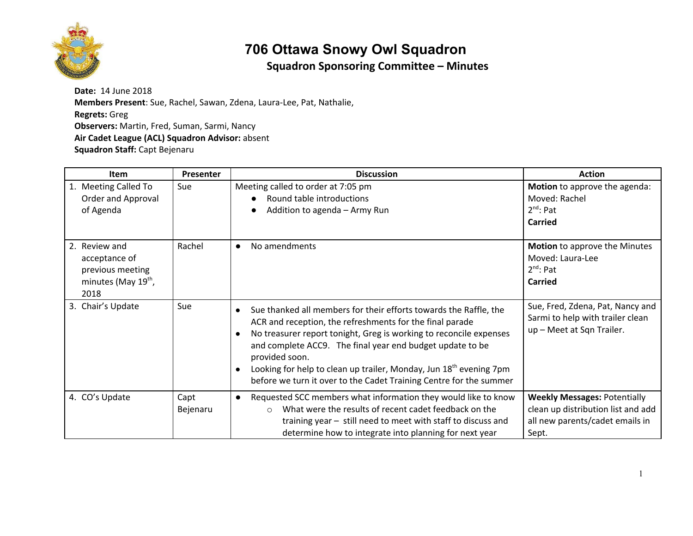

# **706 Ottawa Snowy Owl Squadron**

#### **Squadron Sponsoring Committee – Minutes**

**Date:** 14 June 2018 **Members Present**: Sue, Rachel, Sawan, Zdena, Laura-Lee, Pat, Nathalie, **Regrets:** Greg **Observers:** Martin, Fred, Suman, Sarmi, Nancy **Air Cadet League (ACL) Squadron Advisor:** absent **Squadron Staff:** Capt Bejenaru

| <b>Item</b>                                                                                   | Presenter        | <b>Discussion</b>                                                                                                                                                                                                                                                                                                                                                                                                                                                    | <b>Action</b>                                                                                                         |
|-----------------------------------------------------------------------------------------------|------------------|----------------------------------------------------------------------------------------------------------------------------------------------------------------------------------------------------------------------------------------------------------------------------------------------------------------------------------------------------------------------------------------------------------------------------------------------------------------------|-----------------------------------------------------------------------------------------------------------------------|
| 1. Meeting Called To<br>Order and Approval<br>of Agenda                                       | Sue              | Meeting called to order at 7:05 pm<br>Round table introductions<br>Addition to agenda - Army Run                                                                                                                                                                                                                                                                                                                                                                     | Motion to approve the agenda:<br>Moved: Rachel<br>$2^{nd}$ : Pat<br><b>Carried</b>                                    |
| 2. Review and<br>acceptance of<br>previous meeting<br>minutes (May 19 <sup>th</sup> ,<br>2018 | Rachel           | No amendments<br>$\bullet$                                                                                                                                                                                                                                                                                                                                                                                                                                           | Motion to approve the Minutes<br>Moved: Laura-Lee<br>$2^{nd}$ : Pat<br><b>Carried</b>                                 |
| 3. Chair's Update                                                                             | Sue              | Sue thanked all members for their efforts towards the Raffle, the<br>ACR and reception, the refreshments for the final parade<br>No treasurer report tonight, Greg is working to reconcile expenses<br>$\bullet$<br>and complete ACC9. The final year end budget update to be<br>provided soon.<br>Looking for help to clean up trailer, Monday, Jun 18 <sup>th</sup> evening 7pm<br>$\bullet$<br>before we turn it over to the Cadet Training Centre for the summer | Sue, Fred, Zdena, Pat, Nancy and<br>Sarmi to help with trailer clean<br>up - Meet at Sqn Trailer.                     |
| 4. CO's Update                                                                                | Capt<br>Bejenaru | Requested SCC members what information they would like to know<br>What were the results of recent cadet feedback on the<br>$\circ$<br>training year - still need to meet with staff to discuss and<br>determine how to integrate into planning for next year                                                                                                                                                                                                         | <b>Weekly Messages: Potentially</b><br>clean up distribution list and add<br>all new parents/cadet emails in<br>Sept. |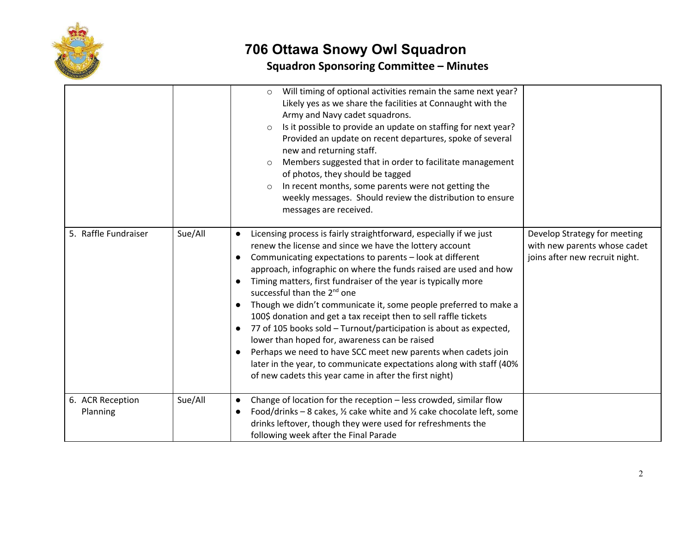

## **706 Ottawa Snowy Owl Squadron Squadron Sponsoring Committee – Minutes**

|                              |         | Will timing of optional activities remain the same next year?<br>$\circ$<br>Likely yes as we share the facilities at Connaught with the<br>Army and Navy cadet squadrons.<br>Is it possible to provide an update on staffing for next year?<br>$\circ$<br>Provided an update on recent departures, spoke of several<br>new and returning staff.<br>Members suggested that in order to facilitate management<br>$\circ$<br>of photos, they should be tagged<br>In recent months, some parents were not getting the<br>$\circ$<br>weekly messages. Should review the distribution to ensure<br>messages are received.                                                                                                                                                                                                                                                     |                                                                                                |
|------------------------------|---------|-------------------------------------------------------------------------------------------------------------------------------------------------------------------------------------------------------------------------------------------------------------------------------------------------------------------------------------------------------------------------------------------------------------------------------------------------------------------------------------------------------------------------------------------------------------------------------------------------------------------------------------------------------------------------------------------------------------------------------------------------------------------------------------------------------------------------------------------------------------------------|------------------------------------------------------------------------------------------------|
| 5. Raffle Fundraiser         | Sue/All | Licensing process is fairly straightforward, especially if we just<br>$\bullet$<br>renew the license and since we have the lottery account<br>Communicating expectations to parents - look at different<br>$\bullet$<br>approach, infographic on where the funds raised are used and how<br>Timing matters, first fundraiser of the year is typically more<br>successful than the 2 <sup>nd</sup> one<br>Though we didn't communicate it, some people preferred to make a<br>100\$ donation and get a tax receipt then to sell raffle tickets<br>77 of 105 books sold - Turnout/participation is about as expected,<br>lower than hoped for, awareness can be raised<br>Perhaps we need to have SCC meet new parents when cadets join<br>later in the year, to communicate expectations along with staff (40%<br>of new cadets this year came in after the first night) | Develop Strategy for meeting<br>with new parents whose cadet<br>joins after new recruit night. |
| 6. ACR Reception<br>Planning | Sue/All | Change of location for the reception - less crowded, similar flow<br>$\bullet$<br>Food/drinks - 8 cakes, $\frac{1}{2}$ cake white and $\frac{1}{2}$ cake chocolate left, some<br>$\bullet$<br>drinks leftover, though they were used for refreshments the<br>following week after the Final Parade                                                                                                                                                                                                                                                                                                                                                                                                                                                                                                                                                                      |                                                                                                |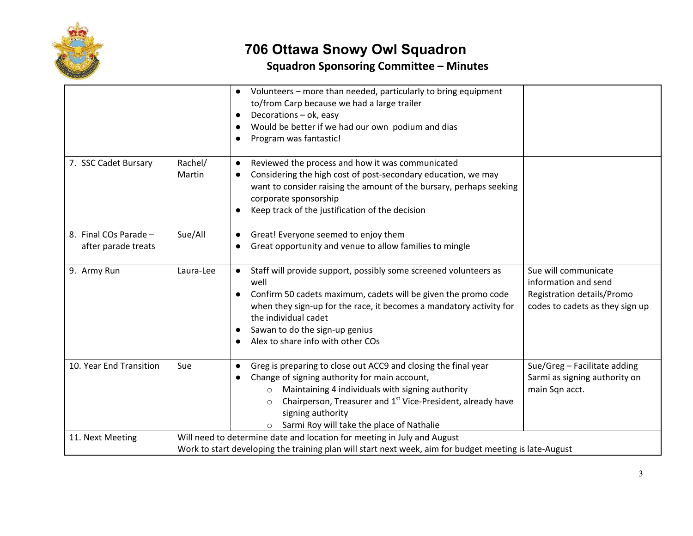

# **706 Ottawa Snowy Owl Squadron**

## **Squadron Sponsoring Committee – Minutes**

|                                              |                   | Volunteers - more than needed, particularly to bring equipment<br>to/from Carp because we had a large trailer<br>Decorations - ok, easy<br>$\bullet$<br>Would be better if we had our own podium and dias<br>Program was fantastic!                                                                                                                     |                                                                                                               |
|----------------------------------------------|-------------------|---------------------------------------------------------------------------------------------------------------------------------------------------------------------------------------------------------------------------------------------------------------------------------------------------------------------------------------------------------|---------------------------------------------------------------------------------------------------------------|
| 7. SSC Cadet Bursary                         | Rachel/<br>Martin | Reviewed the process and how it was communicated<br>$\bullet$<br>Considering the high cost of post-secondary education, we may<br>$\bullet$<br>want to consider raising the amount of the bursary, perhaps seeking<br>corporate sponsorship<br>Keep track of the justification of the decision                                                          |                                                                                                               |
| 8. Final COs Parade -<br>after parade treats | Sue/All           | Great! Everyone seemed to enjoy them<br>Great opportunity and venue to allow families to mingle                                                                                                                                                                                                                                                         |                                                                                                               |
| 9. Army Run                                  | Laura-Lee         | Staff will provide support, possibly some screened volunteers as<br>$\bullet$<br>well<br>Confirm 50 cadets maximum, cadets will be given the promo code<br>$\bullet$<br>when they sign-up for the race, it becomes a mandatory activity for<br>the individual cadet<br>Sawan to do the sign-up genius<br>$\bullet$<br>Alex to share info with other COs | Sue will communicate<br>information and send<br>Registration details/Promo<br>codes to cadets as they sign up |
| 10. Year End Transition                      | Sue               | Greg is preparing to close out ACC9 and closing the final year<br>Change of signing authority for main account,<br>Maintaining 4 individuals with signing authority<br>$\circ$<br>Chairperson, Treasurer and 1st Vice-President, already have<br>$\Omega$<br>signing authority<br>Sarmi Roy will take the place of Nathalie<br>$\circ$                  | Sue/Greg - Facilitate adding<br>Sarmi as signing authority on<br>main Sqn acct.                               |
| 11. Next Meeting                             |                   | Will need to determine date and location for meeting in July and August<br>Work to start developing the training plan will start next week, aim for budget meeting is late-August                                                                                                                                                                       |                                                                                                               |